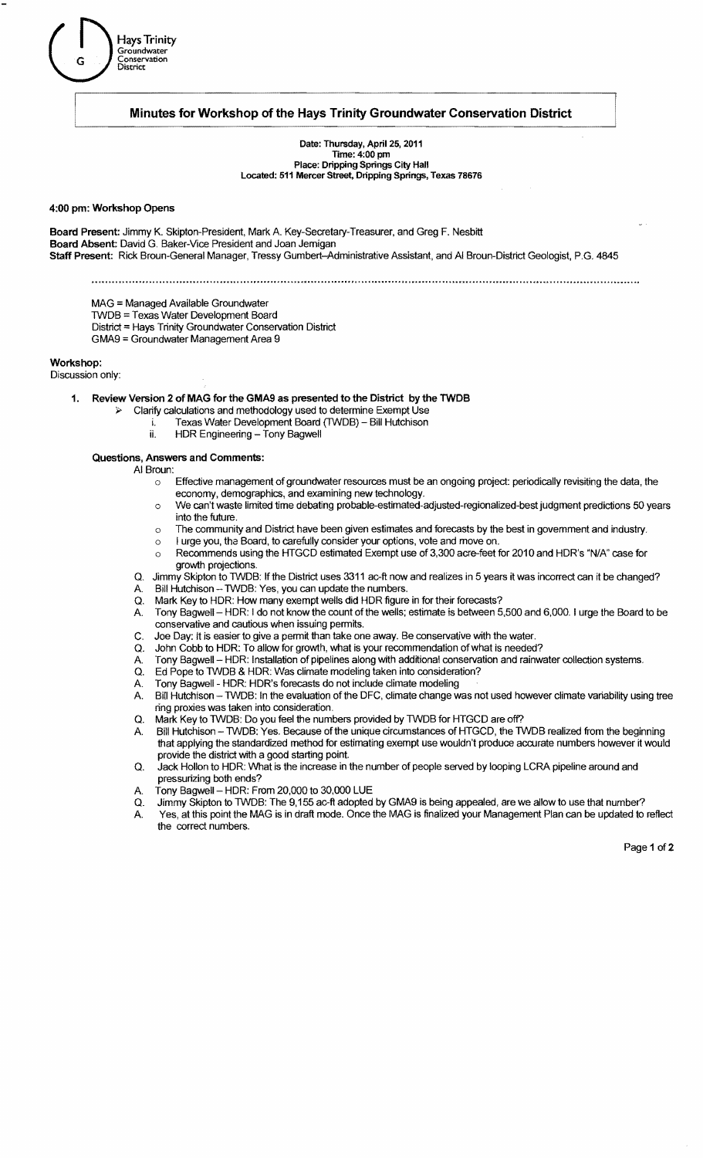

# Minutes for Workshop of the Hays Trinity Groundwater Conservation District

Date: Thursday, April 25, 2011 Time: 4:00 pm Place: Dripping Springs City Hall Located: 511 Mercer Street, Dripping Springs, Texas 78676

#### 4:00 pm: Workshop Opens

Board Present: Jimmy K. Skipton-President, Mark A. Key-Secretary-Treasurer, and Greg F. Nesbitt Board Absent: David G. Baker-Vice President and Joan Jemigan Staff Present: Rick Broun-General Manager, Tressy Gumbert-Administrative Assistant, and AI Broun-District Geologist, P.G. 4845

MAG = Managed Available Groundwater

lWDB =Texas Water Development Board

District = Hays Trinity Groundwater Conservation District

GMA9 =Groundwater Management Area 9

Workshop:

Discussion only:

1. Review Version 2 of MAG for the GMA9 as presented to the District by the TWDB

- $\triangleright$  Clarify calculations and methodology used to determine Exempt Use
	- i. Texas Water Development Board (TWDB) Bill Hutchison
	- ii. HDR Engineering Tony Bagwell

#### Questions, Answers and Comments:

- AI Broun:
	- $\circ$  Effective management of groundwater resources must be an ongoing project: periodically revisiting the data, the economy, demographics, and examining new technology.
	- o We can't waste limited time debating probable-estimated-adjusted-regionalized-best judgment predictions 50 years into the future.
	- o The community and District have been given estimates and forecasts by the best in govemment and industry.
	- o I urge you, the Board, to carefully consider your options, vote and move on.
	- o Recommends using the HTGCD estimated Exempt use of 3,300 acre-feet for 2010 and HDR's "N/A" case for growth projections.
	- Q. Jimmy Skipton to TWDB: If the District uses 3311 ac-ft now and realizes in 5 years it was incorrect can it be changed?
	- Bill Hutchison TWDB: Yes, you can update the numbers.
	- Q. Mark Key to HDR: How many exempt wells did HDR figure in for their forecasts? A. Tony Bagwell - HDR: I do not know the count of the wells; estimate is between 5,500 and 6,000. I urge the Board to be conservative and cautious when issuing permits.
	- C. Joe Day: It is easier to give a permit than take one away. Be conservative with the water.
	- Q. John Cobb to HDR: To allow for growth, what is your recommendation ofwhat is needed?
	- A. Tony Bagwell HDR: Installation of pipelines along with additional conservation and rainwater collection systems.<br>Q. Ed Pope to TWDB & HDR: Was climate modeling taken into consideration?
	- Ed Pope to TWDB & HDR: Was climate modeling taken into consideration?
	-
	- A. Tony Bagwell HDR: HDR's forecasts do not include climate modeling<br>A. Bill Hutchison TWDB: In the evaluation of the DFC, climate change w Bill Hutchison - TWDB: In the evaluation of the DFC, climate change was not used however climate variability using tree ring proxies was taken into consideration.
	- Q. Mark Key to TWDB: Do you feel the numbers provided by TWDB for HTGCD are off?
	- A. Bill Hutchison TWDB: Yes. Because of the unique circumstances of HTGCD, the TWDB realized from the beginning that applying the standardized method for estimating exempt use wouldn't produce accurate numbers however it would provide the district with a good starting point.
	- Q. Jack Hollon to HDR: What is the increase in the number of people served by looping LCRA pipeline around and pressurizing both ends?
	- Tony Bagwell HDR: From 20,000 to 30,000 LUE
	- Q. Jimmy Skipton to TWDB: The 9,155 ac-ft adopted by GMA9 is being appealed, are we allow to use that number?
	- A. Yes, at this point the MAG is in draft mode. Once the MAG is finalized your Management Plan can be updated to reflect the correct numbers.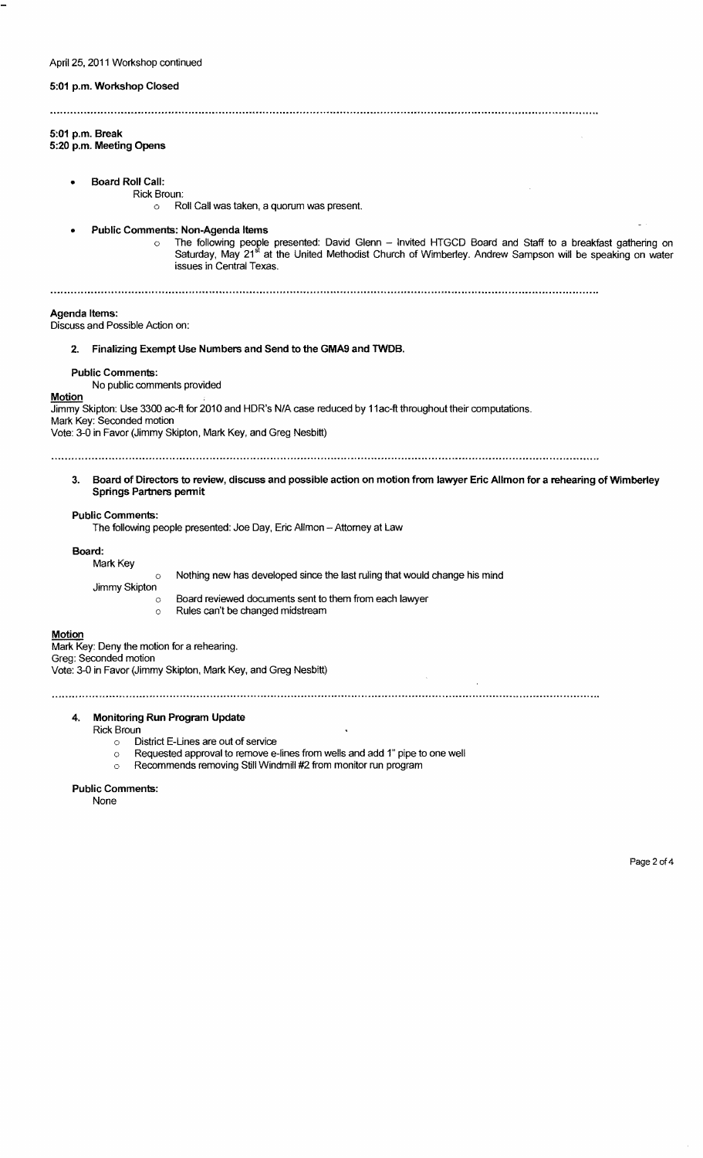## 5:01 p.m. Workshop Closed

# 5:01 p.m. Break

5:20 p.m. Meeting Opens

Board Roll Call:

Rick Broun:

o Roll Call was taken, a quorum was present.

- Public Comments: Non-Agenda Items
	- ⊙ The following people presented: David Glenn Invited HTGCD Board and Staff to a breakfast gathering on<br>Saturday, May 21<sup>st</sup> at the United Methodist Church of Wimberley. Andrew Sampson will be speaking on water issues in Central Texas.

#### Agenda Items:

Discuss and Possible Action on:

# 2. Finalizing Exempt Use Numbers and Send to the GMA9 and TWDB.

#### Public Comments:

No public comments provided

**Motion** 

Jimmy Skipton: Use 3300 ac-ft for 2010 and HDR's N/A case reduced by 11 ac-ft throughout their computations.

Mark Key: Seconded motion Vote: 3-0 in Favor (Jimmy Skipton, Mark Key, and Greg Nesbitt)

3. Board of Directors to review, discuss and possible action on motion from lawyer Eric Allmon for a rehearing ofWimberley Springs Partners permit

### Public Comments:

The following people presented: Joe Day, Eric Allmon - Attorney at Law

Board:

| Mark Key      |                                                                            |
|---------------|----------------------------------------------------------------------------|
|               | Nothing new has developed since the last ruling that would change his mind |
| Jimmy Skipton |                                                                            |
|               | Board reviewed documents sent to them from each lawyer                     |
| ∩             | Rules can't be changed midstream                                           |
|               |                                                                            |

## **Motion**

Mark Key: Deny the motion for a rehearing. Greg: Seconded motion Vote: 3-0 in Favor (Jimmy Skipton, Mark Key, and Greg Nesbitt)

## 4. Monitoring Run Program Update

Rick Broun

- District E-Lines are out of service  $\Diamond$
- $\circ$  Requested approval to remove e-lines from wells and add 1" pipe to one well
- o Recommends removing Still Windmill #2 from monitor run program

### Public Comments:

None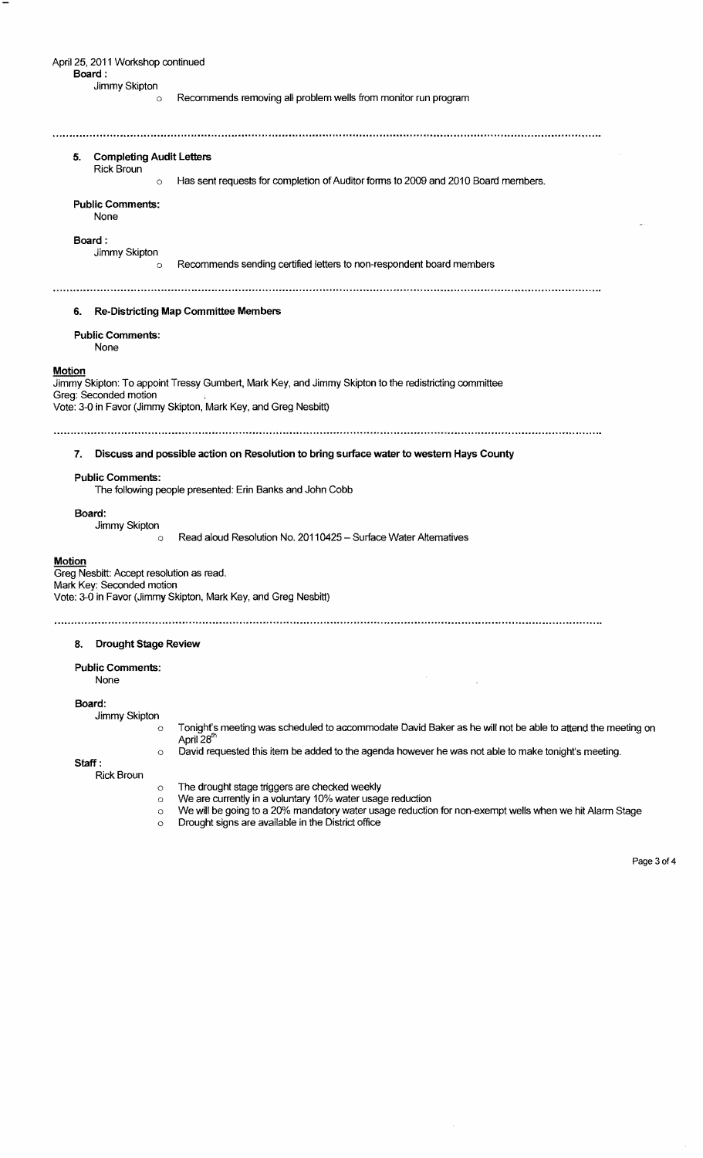April 25, 2011 Workshop continued Board: Jimmy Skipton o Recommends removing all problem wells from monitor run program 5. Completing Audit Letters Rick Broun o Has sent requests for completion of Auditor forms to 2009 and 2010 Board members. Public Comments: None Board : Jimmy Skipton o Recommends sending certified letters to non-respondent board members 6. Re-Districting Map Committee Members Public Comments: None **Motion** Jimmy Skipton: To appoint Tressy Gumbert, Mark Key, and Jimmy Skipton to the redistricting committee Greg: Seconded motion Vote: 3-0 in Favor (Jimmy Skipton, Mark Key, and Greg Nesbitt) 7. Discuss and possible action on Resolution to bring surface water to western Hays County Public Comments: The following people presented: Erin Banks and John Cobb Board: Jimmy Skipton o Read aloud Resolution No. 20110425 - Surface Water Alternatives Motion **Greg Nesbitt: Accept resolution as read.** Mark Key: Seconded motion Vote: 3-0 in Favor (Jimmy Skipton, Mark Key, and Greg Nesbitt) 8. Drought Stage Review Public Comments: None Board: Jimmy Skipton o Tonight's meeting was scheduled to accommodate David Baker as he will not be able to attend the meeting on April 28<sup>th</sup> o David requested this item be added to the agenda however he was not able to make tonight's meeting. Staff:

Rick Broun

- $\circ$  The drought stage triggers are checked weekly
- o We are currently in a voluntary 10% water usage reduction
- o We will be going to a 20% mandatory water usage reduction for non-exempt wells when we hit Alarm Stage
	- o Drought signs are available in the District office

Page 3 of 4